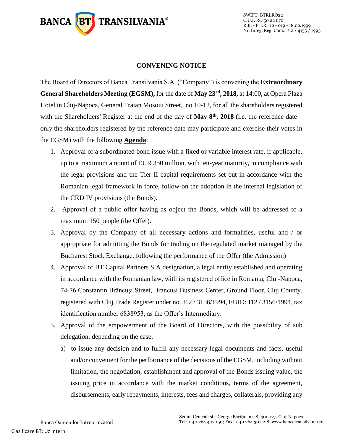

## **CONVENING NOTICE**

The Board of Directors of Banca Transilvania S.A. ("Company") is convening the **Extraordinary General Shareholders Meeting (EGSM),** for the date of **May 23rd, 2018,** at 14:00, at Opera Plaza Hotel in Cluj-Napoca, General Traian Mosoiu Street, no.10-12, for all the shareholders registered with the Shareholders' Register at the end of the day of **May 8th, 2018** (i.e. the reference date – only the shareholders registered by the reference date may participate and exercise their votes in the EGSM) with the following **Agenda**:

- 1. Approval of a subordinated bond issue with a fixed or variable interest rate, if applicable, up to a maximum amount of EUR 350 million, with ten-year maturity, in compliance with the legal provisions and the Tier II capital requirements set out in accordance with the Romanian legal framework in force, follow-on the adoption in the internal legislation of the CRD IV provisions (the Bonds).
- 2. Approval of a public offer having as object the Bonds, which will be addressed to a maximum 150 people (the Offer).
- 3. Approval by the Company of all necessary actions and formalities, useful and / or appropriate for admitting the Bonds for trading on the regulated market managed by the Bucharest Stock Exchange, following the performance of the Offer (the Admission)
- 4. Approval of BT Capital Partners S.A designation, a legal entity established and operating in accordance with the Romanian law, with its registered office in Romania, Cluj-Napoca, 74-76 Constantin Brâncuşi Street, Brancusi Business Center, Ground Floor, Cluj County, registered with Cluj Trade Register under no. J12 / 3156/1994, EUID: J12 / 3156/1994, tax identification number 6838953, as the Offer's Intermediary.
- 5. Approval of the empowerment of the Board of Directors, with the possibility of sub delegation, depending on the case:
	- a) to issue any decision and to fulfill any necessary legal documents and facts, useful and/or convenient for the performance of the decisions of the EGSM, including without limitation, the negotiation, establishment and approval of the Bonds issuing value, the issuing price in accordance with the market conditions, terms of the agreement, disbursements, early repayments, interests, fees and charges, collaterals, providing any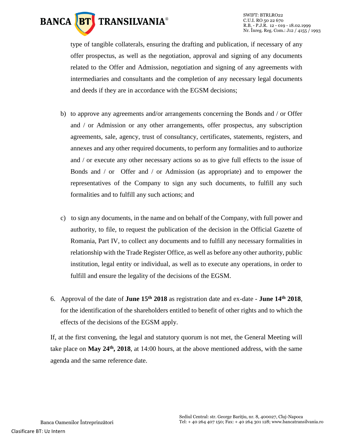

SWIFT: BTRLRO22 C.U.I. RO 50 22 670 R.B. - P.J.R. 12 - 019 - 18.02.1999 Nr. Înreg. Reg. Com.: J12 / 4155 / 1993

type of tangible collaterals, ensuring the drafting and publication, if necessary of any offer prospectus, as well as the negotiation, approval and signing of any documents related to the Offer and Admission, negotiation and signing of any agreements with intermediaries and consultants and the completion of any necessary legal documents and deeds if they are in accordance with the EGSM decisions;

- b) to approve any agreements and/or arrangements concerning the Bonds and / or Offer and / or Admission or any other arrangements, offer prospectus, any subscription agreements, sale, agency, trust of consultancy, certificates, statements, registers, and annexes and any other required documents, to perform any formalities and to authorize and / or execute any other necessary actions so as to give full effects to the issue of Bonds and / or Offer and / or Admission (as appropriate) and to empower the representatives of the Company to sign any such documents, to fulfill any such formalities and to fulfill any such actions; and
- c) to sign any documents, in the name and on behalf of the Company, with full power and authority, to file, to request the publication of the decision in the Official Gazette of Romania, Part IV, to collect any documents and to fulfill any necessary formalities in relationship with the Trade Register Office, as well as before any other authority, public institution, legal entity or individual, as well as to execute any operations, in order to fulfill and ensure the legality of the decisions of the EGSM.
- 6. Approval of the date of **June 15th 2018** as registration date and ex-date **June 14th 2018**, for the identification of the shareholders entitled to benefit of other rights and to which the effects of the decisions of the EGSM apply.

If, at the first convening, the legal and statutory quorum is not met, the General Meeting will take place on **May 24th, 2018**, at 14:00 hours, at the above mentioned address, with the same agenda and the same reference date.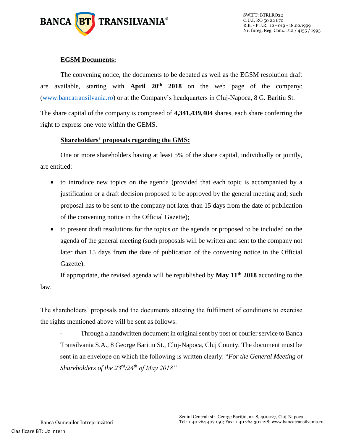

# **EGSM Documents:**

The convening notice, the documents to be debated as well as the EGSM resolution draft are available, starting with **April 20th 2018** on the web page of the company: [\(www.bancatransilvania.ro\)](http://www.bancatransilvania.ro/) or at the Company's headquarters in Cluj-Napoca, 8 G. Baritiu St.

The share capital of the company is composed of **4,341,439,404** shares, each share conferring the right to express one vote within the GEMS.

## **Shareholders' proposals regarding the GMS:**

One or more shareholders having at least 5% of the share capital, individually or jointly, are entitled:

- to introduce new topics on the agenda (provided that each topic is accompanied by a justification or a draft decision proposed to be approved by the general meeting and; such proposal has to be sent to the company not later than 15 days from the date of publication of the convening notice in the Official Gazette);
- to present draft resolutions for the topics on the agenda or proposed to be included on the agenda of the general meeting (such proposals will be written and sent to the company not later than 15 days from the date of publication of the convening notice in the Official Gazette).

If appropriate, the revised agenda will be republished by **May 11th 2018** according to the law.

The shareholders' proposals and the documents attesting the fulfilment of conditions to exercise the rights mentioned above will be sent as follows:

Through a handwritten document in original sent by post or courier service to Banca Transilvania S.A., 8 George Baritiu St., Cluj-Napoca, Cluj County. The document must be sent in an envelope on which the following is written clearly: "*For the General Meeting of Shareholders of the 23rd/24th of May 2018"*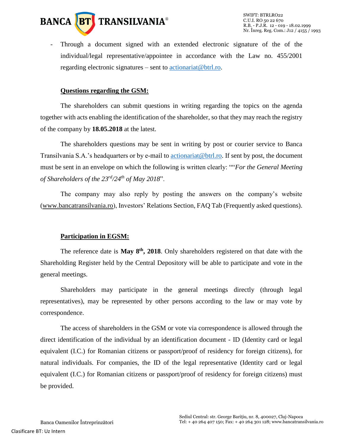

- Through a document signed with an extended electronic signature of the of the individual/legal representative/appointee in accordance with the Law no. 455/2001 regarding electronic signatures – sent to [actionariat@btrl.ro.](mailto:actionariat@btrl.ro)

#### **Questions regarding the GSM:**

The shareholders can submit questions in writing regarding the topics on the agenda together with acts enabling the identification of the shareholder, so that they may reach the registry of the company by **18.05.2018** at the latest.

The shareholders questions may be sent in writing by post or courier service to Banca Transilvania S.A.'s headquarters or by e-mail to [actionariat@btrl.ro.](mailto:actionariat@btrl.ro) If sent by post, the document must be sent in an envelope on which the following is written clearly: ""*For the General Meeting of Shareholders of the 23rd/24th of May 2018*".

The company may also reply by posting the answers on the company's website [\(www.bancatransilvania.ro\)](http://www.bancatransilvania.ro/), Investors' Relations Section, FAQ Tab (Frequently asked questions).

#### **Participation in EGSM:**

The reference date is **May 8th, 2018**. Only shareholders registered on that date with the Shareholding Register held by the Central Depository will be able to participate and vote in the general meetings.

Shareholders may participate in the general meetings directly (through legal representatives), may be represented by other persons according to the law or may vote by correspondence.

The access of shareholders in the GSM or vote via correspondence is allowed through the direct identification of the individual by an identification document - ID (Identity card or legal equivalent (I.C.) for Romanian citizens or passport/proof of residency for foreign citizens), for natural individuals. For companies, the ID of the legal representative (Identity card or legal equivalent (I.C.) for Romanian citizens or passport/proof of residency for foreign citizens) must be provided.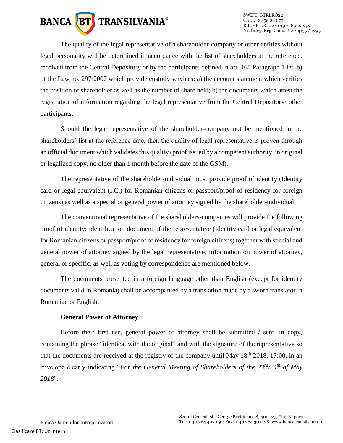

The quality of the legal representative of a shareholder-company or other entities without legal personality will be determined in accordance with the list of shareholders at the reference, received from the Central Depository or by the participants defined in art. 168 Paragraph 1 let. b) of the Law no. 297/2007 which provide custody services: a) the account statement which verifies the position of shareholder as well as the number of share held; b) the documents which attest the registration of information regarding the legal representative from the Central Depository/ other participants.

Should the legal representative of the shareholder-company not be mentioned in the shareholders' list at the reference date, then the quality of legal representative is proven through an official document which validates this quality (proof issued by a competent authority, in original or legalized copy, no older than 1 month before the date of the GSM).

The representative of the shareholder-individual must provide proof of identity (Identity card or legal equivalent (I.C.) for Romanian citizens or passport/proof of residency for foreign citizens) as well as a special or general power of attorney signed by the shareholder-individual.

The conventional representative of the shareholders-companies will provide the following proof of identity: identification document of the representative (Identity card or legal equivalent for Romanian citizens or passport/proof of residency for foreign citizens) together with special and general power of attorney signed by the legal representative. Information on power of attorney, general or specific, as well as voting by correspondence are mentioned below.

The documents presented in a foreign language other than English (except for identity documents valid in Romania) shall be accompanied by a translation made by a sworn translator in Romanian or English.

#### **General Power of Attorney**

Before their first use, general power of attorney shall be submitted / sent, in copy, containing the phrase "identical with the original" and with the signature of the representative so that the documents are received at the registry of the company until May  $18<sup>th</sup> 2018$ , 17:00, in an envelope clearly indicating "*For the General Meeting of Shareholders of the 23rd/24th of May 2018*".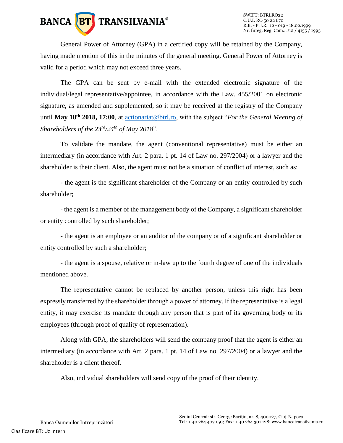

General Power of Attorney (GPA) in a certified copy will be retained by the Company, having made mention of this in the minutes of the general meeting. General Power of Attorney is valid for a period which may not exceed three years.

The GPA can be sent by e-mail with the extended electronic signature of the individual/legal representative/appointee, in accordance with the Law. 455/2001 on electronic signature, as amended and supplemented, so it may be received at the registry of the Company until **May 18th 2018, 17:00**, at [actionariat@btrl.ro,](mailto:actionariat@btrl.ro) with the subject "*For the General Meeting of Shareholders of the 23rd/24th of May 2018*".

To validate the mandate, the agent (conventional representative) must be either an intermediary (in accordance with Art. 2 para. 1 pt. 14 of Law no. 297/2004) or a lawyer and the shareholder is their client. Also, the agent must not be a situation of conflict of interest, such as:

- the agent is the significant shareholder of the Company or an entity controlled by such shareholder;

- the agent is a member of the management body of the Company, a significant shareholder or entity controlled by such shareholder;

- the agent is an employee or an auditor of the company or of a significant shareholder or entity controlled by such a shareholder;

- the agent is a spouse, relative or in-law up to the fourth degree of one of the individuals mentioned above.

The representative cannot be replaced by another person, unless this right has been expressly transferred by the shareholder through a power of attorney. If the representative is a legal entity, it may exercise its mandate through any person that is part of its governing body or its employees (through proof of quality of representation).

Along with GPA, the shareholders will send the company proof that the agent is either an intermediary (in accordance with Art. 2 para. 1 pt. 14 of Law no. 297/2004) or a lawyer and the shareholder is a client thereof.

Also, individual shareholders will send copy of the proof of their identity.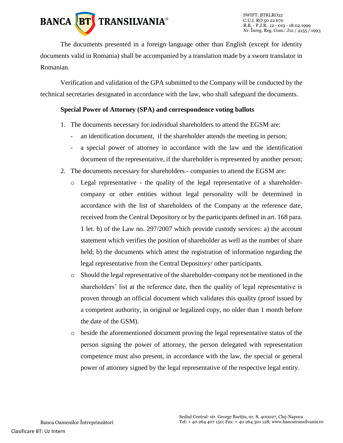

The documents presented in a foreign language other than English (except for identity documents valid in Romania) shall be accompanied by a translation made by a sworn translator in Romanian.

Verification and validation of the GPA submitted to the Company will be conducted by the technical secretaries designated in accordance with the law, who shall safeguard the documents.

# **Special Power of Attorney (SPA) and correspondence voting ballots**

- 1. The documents necessary for individual shareholders to attend the EGSM are:
	- an identification document, if the shareholder attends the meeting in person;
	- a special power of attorney in accordance with the law and the identification document of the representative, if the shareholder is represented by another person;
- 2. The documents necessary for shareholders companies to attend the EGSM are:
	- o Legal representative the quality of the legal representative of a shareholdercompany or other entities without legal personality will be determined in accordance with the list of shareholders of the Company at the reference date, received from the Central Depository or by the participants defined in art. 168 para. 1 let. b) of the Law no. 297/2007 which provide custody services: a) the account statement which verifies the position of shareholder as well as the number of share held; b) the documents which attest the registration of information regarding the legal representative from the Central Depository/ other participants.
	- o Should the legal representative of the shareholder-company not be mentioned in the shareholders' list at the reference date, then the quality of legal representative is proven through an official document which validates this quality (proof issued by a competent authority, in original or legalized copy, no older than 1 month before the date of the GSM).
	- o beside the aforementioned document proving the legal representative status of the person signing the power of attorney, the person delegated with representation competence must also present, in accordance with the law, the special or general power of attorney signed by the legal representative of the respective legal entity.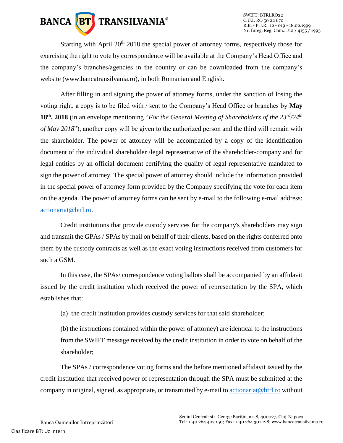

SWIFT: BTRLRO22 C.U.I. RO 50 22 670 R.B. - P.J.R. 12 - 019 - 18.02.1999 Nr. Înreg. Reg. Com.: J12 / 4155 / 1993

Starting with April 20<sup>th</sup> 2018 the special power of attorney forms, respectively those for exercising the right to vote by correspondence will be available at the Company's Head Office and the company's branches/agencies in the country or can be downloaded from the company's website [\(www.bancatransilvania.ro\)](http://www.bancatransilvania.ro/), in both Romanian and English**.**

After filling in and signing the power of attorney forms, under the sanction of losing the voting right, a copy is to be filed with / sent to the Company's Head Office or branches by **May 18th, 2018** (in an envelope mentioning "*For the General Meeting of Shareholders of the 23rd/24th of May 2018*"), another copy will be given to the authorized person and the third will remain with the shareholder. The power of attorney will be accompanied by a copy of the identification document of the individual shareholder /legal representative of the shareholder-company and for legal entities by an official document certifying the quality of legal representative mandated to sign the power of attorney. The special power of attorney should include the information provided in the special power of attorney form provided by the Company specifying the vote for each item on the agenda. The power of attorney forms can be sent by e-mail to the following e-mail address: [actionariat@btrl.ro.](mailto:actionariat@btrl.ro)

Credit institutions that provide custody services for the company's shareholders may sign and transmit the GPAs / SPAs by mail on behalf of their clients, based on the rights conferred onto them by the custody contracts as well as the exact voting instructions received from customers for such a GSM.

In this case, the SPAs/ correspondence voting ballots shall be accompanied by an affidavit issued by the credit institution which received the power of representation by the SPA, which establishes that:

(a) the credit institution provides custody services for that said shareholder;

(b) the instructions contained within the power of attorney) are identical to the instructions from the SWIFT message received by the credit institution in order to vote on behalf of the shareholder;

The SPAs / correspondence voting forms and the before mentioned affidavit issued by the credit institution that received power of representation through the SPA must be submitted at the company in original, signed, as appropriate, or transmitted by e-mail t[o actionariat@btrl.ro](mailto:actionariat@btrl.ro) without